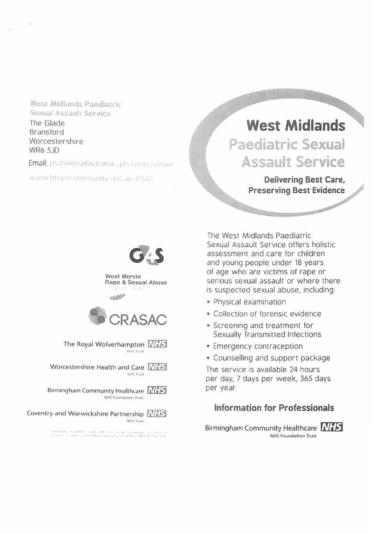**West Midlands Paediatric**  Sexual Assault Service

The Glade Bransford Worcestershire WR6 SJD

**nail:** pSASWestMids@uk.g4s.com.cjsm.net

www.bhamcommunity rins uk/PSAS

# **West Midlands**

**Paediatric Sexual Assault Service** 

> **Delivering Best Care, Preserving Best Evidence**



West Mercia Rape & Sexual Abuse  $(1 - 3)^{-1}$  $A + 1 + 1 + 1$ 

atal<sup>44</sup>



The Royal Wolverhampton **NIES NHS Trust** 

Worcestershire Health and Care **MES** NHS Trust

Birmingham Community Healthcare **NIES** 

Coventry and Warwickshire Partnership **RIFF NHS Trust** 

**•''"'•It·,** , <sup>j</sup> • **l'I** •I I I **f •1 o "• t•U ,,,J** 0 "' • I l~I •· • **1** ,. • • • • **11** I •

The West Midlands Paediatric Sexual Assault Service offers holistic assessment and care for children and young people under 18 years of age who are victims of rape or serious sexual assault or where there is suspected sexual abuse, including:

- Physical examination
- Collection of forensic evidence
- Screening and treatment for Sexually Transmitted Infections
- Emergency contraception
- Counselling and support package

The service is available 24 hours per day, 7 days per week, 365 days per year.

### **Information for Professionals**

Birmingham Community Healthcare **INTES** NHS Foundation Trust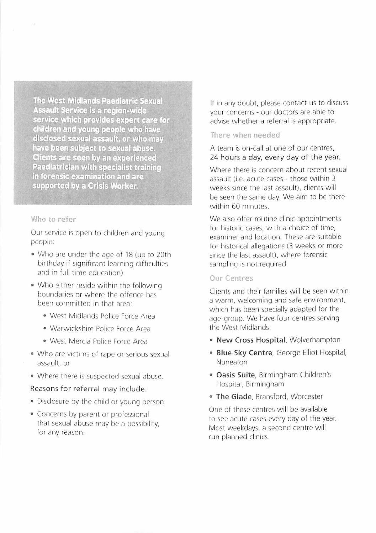The West Midlands Paediatric Sexual Assault Service is a region-wide service which provides expert care for children and young people who have disclosed sexual assault, or who may have been subject to sexual abuse. **Clients are seen by an experienced Paediatrician with specialist training** in forensic examination and are supported by a Crisis Worker.

#### **Who to refer**

 $\bar{\epsilon}$ 

Our service is open to children and young people:

- Who are under the age of 18 (up to 20th birthday if significant learning difficulties and in full time education)
- Who either reside within the following boundaries or where the offence has been committed in that area:
	- West Midlands Police Force Area
	- Warwickshire Police Force Area
	- West Mercia Police Force Area
- Who are victims of rape or serious sexual assault, or
- Where there is suspected sexual abuse.

#### Reasons for referral may include:

- Disclosure by the child or young person
- Concerns by parent or professional that sexual abuse may be a possibility, for any reason.

If in any doubt, please contact us to discuss your concerns - our doctors are able to advise whether a referral is appropriate.

#### **fhcre wnen needed**

A team is on-call at one of our centres, 24 hours a day, every day of the year.

Where there is concern about recent sexual assault (i.e. acute cases - those within 3 weeks since the last assault), clients will be seen the same day. We aim to be there within 60 minutes.

We also offer routine clinic appointments for historic cases, with a choice of time, examiner and location. These are suitable for historical allegations (3 weeks or more since the last assault), where forensic sampling is not required.

#### **Our Centres**

Clients and their families will be seen within a warm, welcoming and safe environment, which has been specially adapted for the age-group. We have four centres serving the West Midlands:

- **New Cross Hospital,** Wolverhampton
- **Blue Sky Centre,** George Elliot Hospital, Nuneaton
- **Oasis Suite,** Birmingham Children's Hospital, Birmingham
- The Glade, Bransford, Worcester

One of these centres will be available to see acute cases every day of the year. Most weekdays, a second centre will run planned clinics.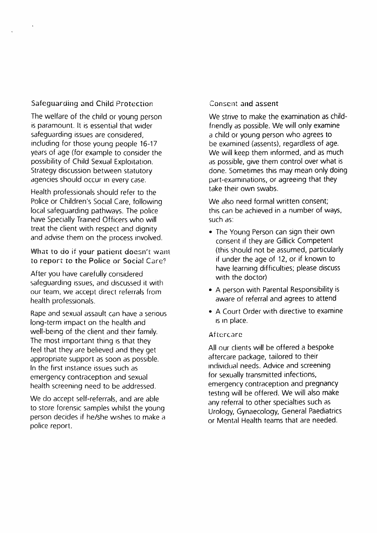#### Safeguarding and Child Protection

The welfare of the child or young person is paramount. It is essential that wider safeguarding issues are considered, including for those young people 16-17 years of age (for example to consider the possibility of Child Sexual Exploitation. Strategy discussion between statutory agencies should occur in every case.

Health professionals should refer to the Police or Children's Social Care, following local safeguarding pathways. The police have Specially Trained Officers who will treat the client with respect and dignity and advise them on the process involved.

What to do if your patient doesn't want to report to the Police or Social Care?

After you have carefully considered safeguarding issues, and discussed it with our team, we accept direct referrals from health professionals.

Rape and sexual assault can have a serious long-term impact on the health and well-being of the client and their family. The most important thing is that they feel that they are believed and they get appropriate support as soon as possible. In the first instance issues such as emergency contraception and sexual health screening need to be addressed.

We do accept self-referrals, and are able to store forensic samples whilst the young person decides if he/she wishes to make a police report.

#### Consent and assent

We strive to make the examination as childfriendly as possible. We will only examine a child or young person who agrees to be examined (assents), regardless of age. We will keep them informed, and as much as possible, give them control over what is done. Sometimes this may mean only doing part-examinations, or agreeing that they take their own swabs.

We also need formal written consent; this can be achieved in a number of ways, such as:

- The Young Person can sign their own consent if they are Gillick Competent (this should not be assumed, particularly if under the age of 12, or if known to have learning difficulties; please discuss with the doctor)
- A person with Parental Responsibility is aware of referral and agrees to attend
- A Court Order with directive to examine 1s in place.

#### Aftercare

All our clients will be offered a bespoke aftercare package, tailored to their individual needs. Advice and screening for sexually transmitted infections, emergency contraception and pregnancy testing will be offered. We will also make any referral to other specialties such as Urology, Gynaecology, General Paediatrics or Mental Health teams that are needed.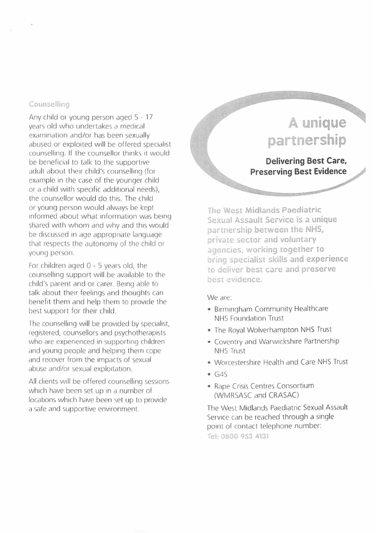#### $Countelling$

Any child or young person aged 5 - 17 years old who undertakes a medical examination and/or has been sexually abused or exploited will be offered specialist counselling. If the counsellor thinks it would be beneficial to talk to the supportive adult about their child's counselling (for example in the case of the younger child or a child with specific additional needs). the counsellor would do this. The child or young person would dlways be kept informed about what information was being shared with whom and why and this would be discussed in age appropriate language that respects the autonomy of the child or young person.

For children aged  $0 - 5$  years old, the counselling support will be available to the child's parent and or carer. Being able to talk about their feelings and thoughts can benefit them and help them to provide 1he best support for their child.

The counselling will be provided by specialist, registered, counsellors and psychotherapists who are experienced in supporting children and young people and helping them cope and recover from the impacts of sexual abuse and/or sexual exploitation.

All clients will be offered counselling sessions which have been set up in a number of locations which have been set up to provide a safe and supportive environment.

## A unique **par nership Delivering Best Care, Preserving Best Evidence**

**The West Midlands Paediatric** Sexual Assault Service is a unique partnership between the NHS, **private sector and voluntary agencies, working together to bring specialist skills and experience o deliver best care and preserve best evidence.** 

We are:

- Birmingham Community Healthcare NHS Foundation Trust
- The Royal Wolverhampton NHS Trust
- Coventry and Warwickshire Partnership NHS Trust
- Worcestershire Health and Care NHS Trust
- G4S
- Rape Crisis Centres Consortium (WMRSASC and CRASAC)

The West Midlands Paediatric Sexual Assault Service can be reached through a single point of contact telephone number: Tel: 0800 953 4131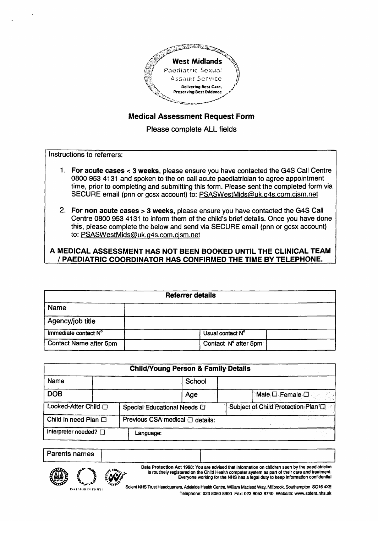

### **Medical Assessment Request Form**

Please complete ALL fields

Instructions to referrers:

- 1. For acute cases  $<$  3 weeks, please ensure you have contacted the G4S Call Centre 0800 953 4131 and spoken to the on call acute paediatrician to agree appointment<br>time, prior to completing and submitting this form. Please sent the completed form via  $\overline{\text{SEC}}$  in  $\overline{\text{SEC}}$  and  $\overline{\text{SSE}}$  and spoken to the one call acute particle particle particle particle particle  $\overline{\text{SEC}}$  in  $\overline{\text{SEC}}$  in  $\overline{\text{SEC}}$  in  $\overline{\text{SEC}}$  in  $\overline{\text{SEC}}$  in  $\overline{\text{SEC}}$  in  $\overline{\text{SEC}}$ time, prior to complete and submitting the completion form. Please sense the completion of the complete form via
- 2. For non acute cases > 3 weeks, please ensure you have contacted the G4S Call Centre 0800 953 4131 to inform them of the child's brief details. Once you have done this, please complete the below and send via SECURE email (pnn or gcsx account) to: PSASWestMids@uk.g4s.com.cism.net  $t_{\text{c}}$  , please complete this procedure general via SECURE email (pnn or gcsx account)  $\alpha$

#### A MEDICAL ASSESSMENT HAS NOT BEEN BOOKED UNTIL THE CLINICAL TEAM / PAEDIATRIC COORDINATOR HAS CONFIRMED THE TIME BY TELEPHONE.

| <b>Referrer details</b> |                      |  |  |  |
|-------------------------|----------------------|--|--|--|
| <b>Name</b>             |                      |  |  |  |
| Agency/job title        |                      |  |  |  |
| Immediate contact N°    | Usual contact N°     |  |  |  |
| Contact Name after 5pm  | Contact N° after 5pm |  |  |  |

|                            |                                                   | <b>Child/Young Person &amp; Family Details</b> |        |                                      |
|----------------------------|---------------------------------------------------|------------------------------------------------|--------|--------------------------------------|
| Name                       |                                                   |                                                | School |                                      |
| <b>DOB</b>                 |                                                   |                                                | Age    | Male <b>D</b> Female <b>D</b>        |
|                            | Looked-After Child<br>Special Educational Needs D |                                                |        | Subject of Child Protection Plan (D) |
| Child in need Plan $\Box$  | Previous CSA medical □ details:                   |                                                |        |                                      |
| Interpreter needed? $\Box$ |                                                   | Language:                                      |        |                                      |

<u>Parents names</u>  $\frac{1}{\sqrt{1-\frac{1}{2}}\sqrt{1-\frac{1}{2}}\sqrt{1-\frac{1}{2}}}}$ 

Data Protection Act 1998: You are advised that information on children seen by the paediatrician is routinely registered on the Child Health computer system as part of their care and treatment. Everyone working for the NHS has a legal duty to keep information confidential



external internal control of the Child Health Control on the Children Medical Mars Affiliance Continemation SO16 AXE

VOICH NHO TIUSH REGULIQUES, AUGIQUE FIGGUE GENER, VERGIN MAGEOU VVZY, MINUTOUR, JULIUM PRI DUTO TAL